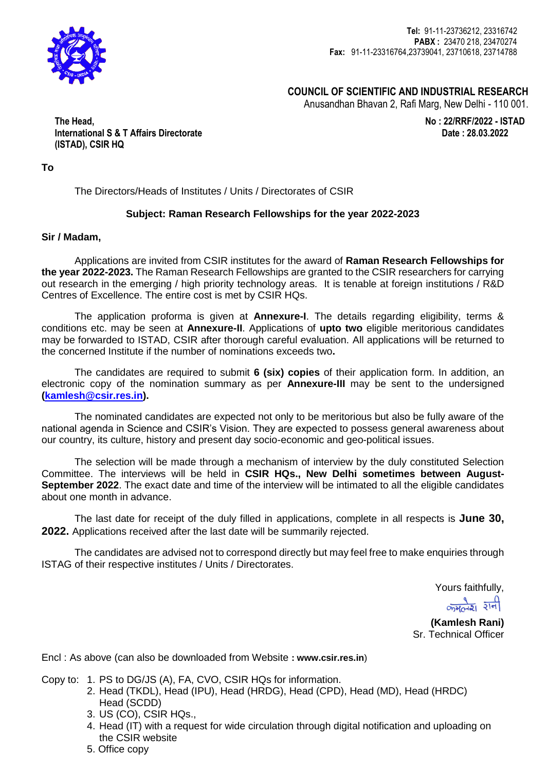

**Tel:** 91-11-23736212, 23316742 **PABX :** 23470 218, 23470274 **Fax:** 91-11-23316764,23739041, 23710618, 23714788

 **COUNCIL OF SCIENTIFIC AND INDUSTRIAL RESEARCH**

Anusandhan Bhavan 2, Rafi Marg, New Delhi - 110 001.

 **No : 22/RRF/2022 - ISTAD Date : 28.03.2022**

**The Head, International S & T Affairs Directorate (ISTAD), CSIR HQ**

**To**

The Directors/Heads of Institutes / Units / Directorates of CSIR

#### **Subject: Raman Research Fellowships for the year 2022-2023**

#### **Sir / Madam,**

Applications are invited from CSIR institutes for the award of **Raman Research Fellowships for the year 2022-2023.** The Raman Research Fellowships are granted to the CSIR researchers for carrying out research in the emerging / high priority technology areas. It is tenable at foreign institutions / R&D Centres of Excellence. The entire cost is met by CSIR HQs.

The application proforma is given at **Annexure-I**. The details regarding eligibility, terms & conditions etc. may be seen at **Annexure-II**. Applications of **upto two** eligible meritorious candidates may be forwarded to ISTAD, CSIR after thorough careful evaluation. All applications will be returned to the concerned Institute if the number of nominations exceeds two**.**

The candidates are required to submit **6 (six) copies** of their application form. In addition, an electronic copy of the nomination summary as per **Annexure-III** may be sent to the undersigned **[\(kamlesh@csir.res.in\)](mailto:kamlesh@csir.res.in).**

The nominated candidates are expected not only to be meritorious but also be fully aware of the national agenda in Science and CSIR's Vision. They are expected to possess general awareness about our country, its culture, history and present day socio-economic and geo-political issues.

The selection will be made through a mechanism of interview by the duly constituted Selection Committee. The interviews will be held in **CSIR HQs., New Delhi sometimes between August-September 2022**. The exact date and time of the interview will be intimated to all the eligible candidates about one month in advance.

The last date for receipt of the duly filled in applications, complete in all respects is **June 30, 2022.** Applications received after the last date will be summarily rejected.

The candidates are advised not to correspond directly but may feel free to make enquiries through ISTAG of their respective institutes / Units / Directorates.

Yours faithfully,

 $rac{1}{\sqrt{2\pi}}$   $rac{1}{2}$ 

**(Kamlesh Rani)** Sr. Technical Officer

Encl : As above (can also be downloaded from Website **: www.csir.res.in**)

- Copy to: 1. PS to DG/JS (A), FA, CVO, CSIR HQs for information.
	- 2. Head (TKDL), Head (IPU), Head (HRDG), Head (CPD), Head (MD), Head (HRDC) Head (SCDD)
	- 3. US (CO), CSIR HQs.,
	- 4. Head (IT) with a request for wide circulation through digital notification and uploading on the CSIR website
	- 5. Office copy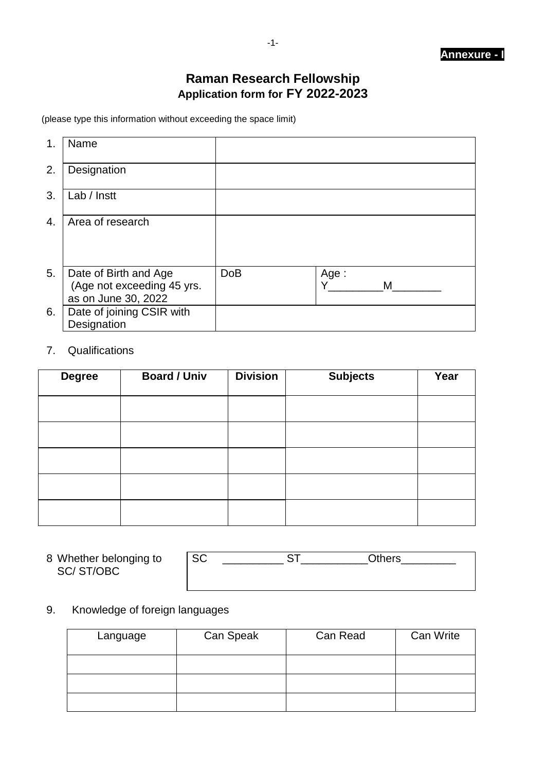## **Raman Research Fellowship Application form for FY 2022-2023**

(please type this information without exceeding the space limit)

| 1.              | Name                                                                       |            |                |
|-----------------|----------------------------------------------------------------------------|------------|----------------|
| 2.              | Designation                                                                |            |                |
| 3.              | Lab / Instt                                                                |            |                |
| $\mathcal{A}$ . | Area of research                                                           |            |                |
| 5.              | Date of Birth and Age<br>(Age not exceeding 45 yrs.<br>as on June 30, 2022 | <b>DoB</b> | Age:<br>v<br>М |
| 6.              | Date of joining CSIR with<br>Designation                                   |            |                |

### 7. Qualifications

| <b>Degree</b> | <b>Board / Univ</b> | <b>Division</b> | <b>Subjects</b> | Year |
|---------------|---------------------|-----------------|-----------------|------|
|               |                     |                 |                 |      |
|               |                     |                 |                 |      |
|               |                     |                 |                 |      |
|               |                     |                 |                 |      |
|               |                     |                 |                 |      |

| 8 Whether belonging to | <b>SC</b> | Dthers |
|------------------------|-----------|--------|
| SC/ST/OBC              |           |        |
|                        |           |        |

## 9. Knowledge of foreign languages

| Language | Can Speak | Can Read | Can Write |
|----------|-----------|----------|-----------|
|          |           |          |           |
|          |           |          |           |
|          |           |          |           |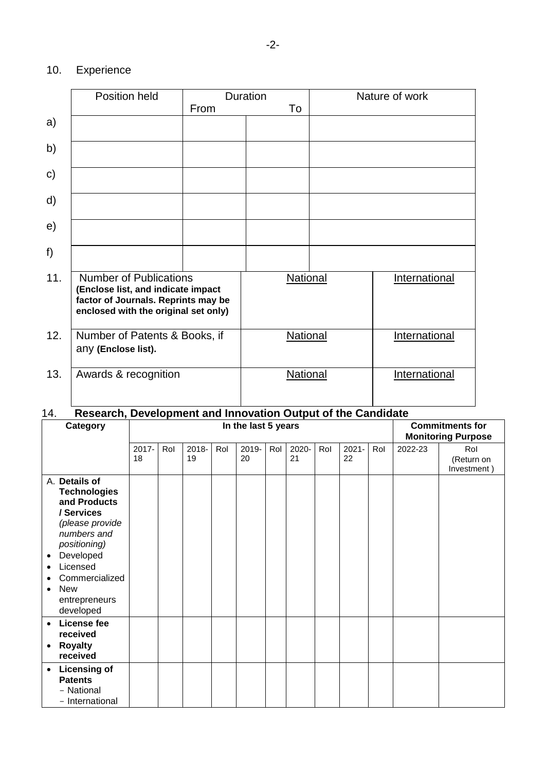## 10. Experience

|               | Position held                                                                                                                                      |                 | Duration |                      | Nature of work |
|---------------|----------------------------------------------------------------------------------------------------------------------------------------------------|-----------------|----------|----------------------|----------------|
|               |                                                                                                                                                    | From            | To       |                      |                |
| a)            |                                                                                                                                                    |                 |          |                      |                |
| b)            |                                                                                                                                                    |                 |          |                      |                |
| $\mathbf{c})$ |                                                                                                                                                    |                 |          |                      |                |
| d)            |                                                                                                                                                    |                 |          |                      |                |
| e)            |                                                                                                                                                    |                 |          |                      |                |
| f)            |                                                                                                                                                    |                 |          |                      |                |
| 11.           | <b>Number of Publications</b><br>(Enclose list, and indicate impact<br>factor of Journals. Reprints may be<br>enclosed with the original set only) | National        |          | International        |                |
| 12.           | Number of Patents & Books, if<br>any (Enclose list).                                                                                               | <b>National</b> |          | International        |                |
| 13.           | Awards & recognition                                                                                                                               | <b>National</b> |          | <b>International</b> |                |

# 14. **Research, Development and Innovation Output of the Candidate**

| Category                                                                                                                                                                                                              | In the last 5 years |     |             |     |             |     |             | <b>Commitments for</b><br><b>Monitoring Purpose</b> |                |     |         |                                  |
|-----------------------------------------------------------------------------------------------------------------------------------------------------------------------------------------------------------------------|---------------------|-----|-------------|-----|-------------|-----|-------------|-----------------------------------------------------|----------------|-----|---------|----------------------------------|
|                                                                                                                                                                                                                       | 2017-<br>18         | Rol | 2018-<br>19 | Rol | 2019-<br>20 | Rol | 2020-<br>21 | Rol                                                 | $2021 -$<br>22 | Rol | 2022-23 | Rol<br>(Return on<br>Investment) |
| A. Details of<br><b>Technologies</b><br>and Products<br>/ Services<br>(please provide<br>numbers and<br>positioning)<br>Developed<br>٠<br>Licensed<br>Commercialized<br><b>New</b><br>٠<br>entrepreneurs<br>developed |                     |     |             |     |             |     |             |                                                     |                |     |         |                                  |
| License fee<br>$\bullet$<br>received<br><b>Royalty</b><br>٠<br>received                                                                                                                                               |                     |     |             |     |             |     |             |                                                     |                |     |         |                                  |
| <b>Licensing of</b><br>$\bullet$<br><b>Patents</b><br>- National<br>- International                                                                                                                                   |                     |     |             |     |             |     |             |                                                     |                |     |         |                                  |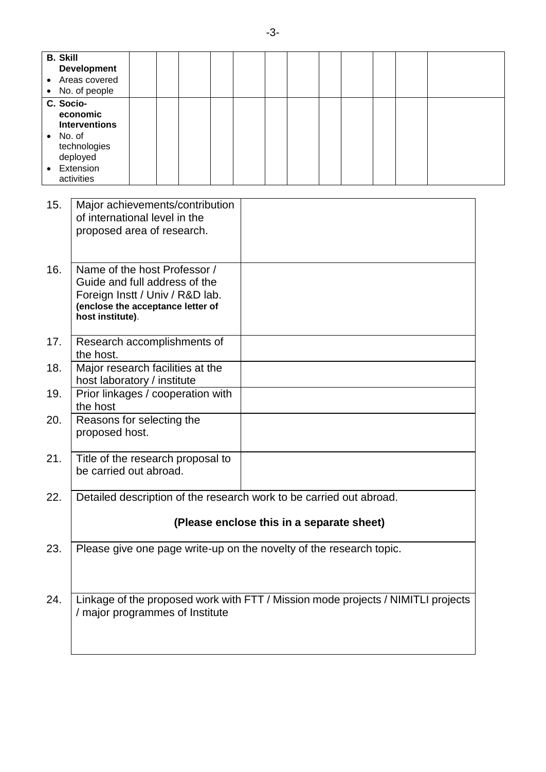| <b>B. Skill</b> | <b>Development</b>                                                               |  |  |  |  |  |  |  |                                           |  |  |
|-----------------|----------------------------------------------------------------------------------|--|--|--|--|--|--|--|-------------------------------------------|--|--|
|                 | Areas covered                                                                    |  |  |  |  |  |  |  |                                           |  |  |
|                 | No. of people                                                                    |  |  |  |  |  |  |  |                                           |  |  |
| C. Socio-       | economic                                                                         |  |  |  |  |  |  |  |                                           |  |  |
|                 | <b>Interventions</b>                                                             |  |  |  |  |  |  |  |                                           |  |  |
| $\bullet$       | No. of                                                                           |  |  |  |  |  |  |  |                                           |  |  |
|                 | technologies                                                                     |  |  |  |  |  |  |  |                                           |  |  |
|                 | deployed<br>Extension                                                            |  |  |  |  |  |  |  |                                           |  |  |
|                 | activities                                                                       |  |  |  |  |  |  |  |                                           |  |  |
|                 |                                                                                  |  |  |  |  |  |  |  |                                           |  |  |
| 15.             | Major achievements/contribution                                                  |  |  |  |  |  |  |  |                                           |  |  |
|                 | of international level in the                                                    |  |  |  |  |  |  |  |                                           |  |  |
|                 | proposed area of research.                                                       |  |  |  |  |  |  |  |                                           |  |  |
|                 |                                                                                  |  |  |  |  |  |  |  |                                           |  |  |
|                 |                                                                                  |  |  |  |  |  |  |  |                                           |  |  |
| 16.             | Name of the host Professor /                                                     |  |  |  |  |  |  |  |                                           |  |  |
|                 | Guide and full address of the                                                    |  |  |  |  |  |  |  |                                           |  |  |
|                 | Foreign Instt / Univ / R&D lab.<br>(enclose the acceptance letter of             |  |  |  |  |  |  |  |                                           |  |  |
|                 | host institute).                                                                 |  |  |  |  |  |  |  |                                           |  |  |
|                 |                                                                                  |  |  |  |  |  |  |  |                                           |  |  |
| 17.             | Research accomplishments of                                                      |  |  |  |  |  |  |  |                                           |  |  |
|                 | the host.                                                                        |  |  |  |  |  |  |  |                                           |  |  |
| 18.             | Major research facilities at the                                                 |  |  |  |  |  |  |  |                                           |  |  |
|                 | host laboratory / institute                                                      |  |  |  |  |  |  |  |                                           |  |  |
| 19.             | Prior linkages / cooperation with                                                |  |  |  |  |  |  |  |                                           |  |  |
| 20.             | the host                                                                         |  |  |  |  |  |  |  |                                           |  |  |
|                 | Reasons for selecting the<br>proposed host.                                      |  |  |  |  |  |  |  |                                           |  |  |
|                 |                                                                                  |  |  |  |  |  |  |  |                                           |  |  |
| 21.             | Title of the research proposal to                                                |  |  |  |  |  |  |  |                                           |  |  |
|                 | be carried out abroad.                                                           |  |  |  |  |  |  |  |                                           |  |  |
|                 |                                                                                  |  |  |  |  |  |  |  |                                           |  |  |
| 22.             | Detailed description of the research work to be carried out abroad.              |  |  |  |  |  |  |  |                                           |  |  |
|                 |                                                                                  |  |  |  |  |  |  |  |                                           |  |  |
|                 |                                                                                  |  |  |  |  |  |  |  | (Please enclose this in a separate sheet) |  |  |
|                 |                                                                                  |  |  |  |  |  |  |  |                                           |  |  |
| 23.             | Please give one page write-up on the novelty of the research topic.              |  |  |  |  |  |  |  |                                           |  |  |
|                 |                                                                                  |  |  |  |  |  |  |  |                                           |  |  |
|                 |                                                                                  |  |  |  |  |  |  |  |                                           |  |  |
| 24.             | Linkage of the proposed work with FTT / Mission mode projects / NIMITLI projects |  |  |  |  |  |  |  |                                           |  |  |
|                 | / major programmes of Institute                                                  |  |  |  |  |  |  |  |                                           |  |  |
|                 |                                                                                  |  |  |  |  |  |  |  |                                           |  |  |
|                 |                                                                                  |  |  |  |  |  |  |  |                                           |  |  |
|                 |                                                                                  |  |  |  |  |  |  |  |                                           |  |  |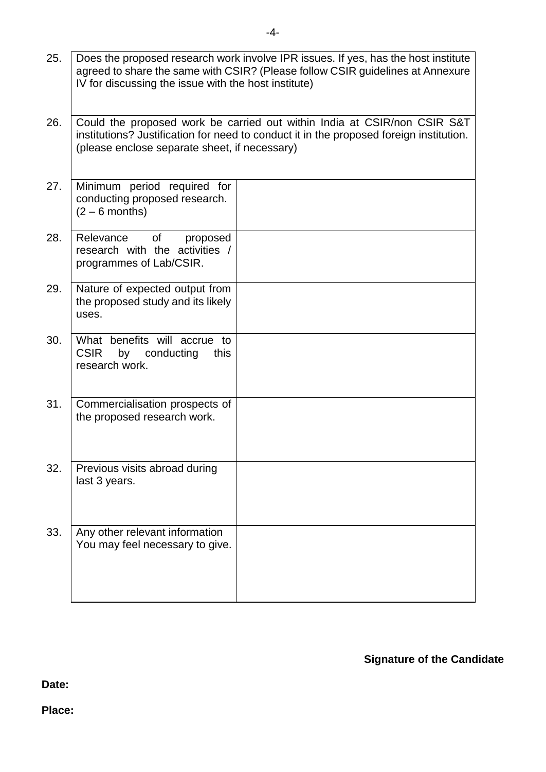| 25. | Does the proposed research work involve IPR issues. If yes, has the host institute<br>agreed to share the same with CSIR? (Please follow CSIR guidelines at Annexure<br>IV for discussing the issue with the host institute) |  |  |  |  |  |  |  |  |  |
|-----|------------------------------------------------------------------------------------------------------------------------------------------------------------------------------------------------------------------------------|--|--|--|--|--|--|--|--|--|
| 26. | Could the proposed work be carried out within India at CSIR/non CSIR S&T<br>institutions? Justification for need to conduct it in the proposed foreign institution.<br>(please enclose separate sheet, if necessary)         |  |  |  |  |  |  |  |  |  |
| 27. | Minimum period required for<br>conducting proposed research.<br>$(2 - 6$ months)                                                                                                                                             |  |  |  |  |  |  |  |  |  |
| 28. | of<br>Relevance<br>proposed<br>research with the activities /<br>programmes of Lab/CSIR.                                                                                                                                     |  |  |  |  |  |  |  |  |  |
| 29. | Nature of expected output from<br>the proposed study and its likely<br>uses.                                                                                                                                                 |  |  |  |  |  |  |  |  |  |
| 30. | What benefits will accrue to<br><b>CSIR</b><br>by<br>conducting<br>this<br>research work.                                                                                                                                    |  |  |  |  |  |  |  |  |  |
| 31. | Commercialisation prospects of<br>the proposed research work.                                                                                                                                                                |  |  |  |  |  |  |  |  |  |
| 32. | Previous visits abroad during<br>last 3 years.                                                                                                                                                                               |  |  |  |  |  |  |  |  |  |
| 33. | Any other relevant information<br>You may feel necessary to give.                                                                                                                                                            |  |  |  |  |  |  |  |  |  |

## **Signature of the Candidate**

**Date:**

**Place:**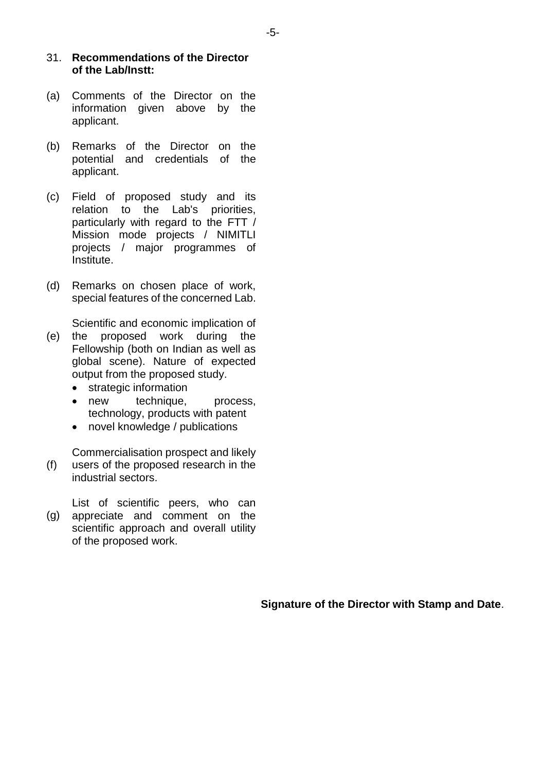#### 31. **Recommendations of the Director of the Lab/Instt:**

- (a) Comments of the Director on the information given above by the applicant.
- (b) Remarks of the Director on the potential and credentials of the applicant.
- (c) Field of proposed study and its relation to the Lab's priorities, particularly with regard to the FTT / Mission mode projects / NIMITLI projects / major programmes of Institute.
- (d) Remarks on chosen place of work, special features of the concerned Lab.

Scientific and economic implication of

- (e) the proposed work during the Fellowship (both on Indian as well as global scene). Nature of expected output from the proposed study.
	- strategic information
	- new technique, process, technology, products with patent
	- novel knowledge / publications

(f) Commercialisation prospect and likely users of the proposed research in the industrial sectors.

(g) List of scientific peers, who can appreciate and comment on the scientific approach and overall utility of the proposed work.

**Signature of the Director with Stamp and Date**.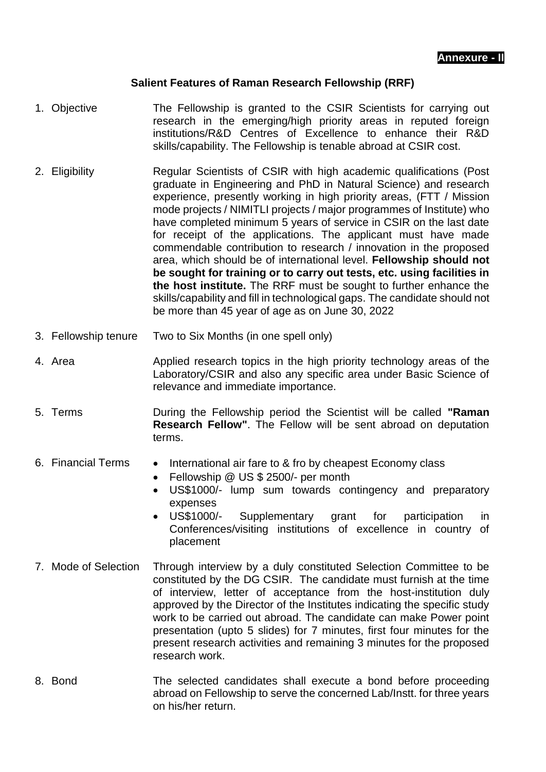#### **Salient Features of Raman Research Fellowship (RRF)**

- 1. Objective The Fellowship is granted to the CSIR Scientists for carrying out research in the emerging/high priority areas in reputed foreign institutions/R&D Centres of Excellence to enhance their R&D skills/capability. The Fellowship is tenable abroad at CSIR cost.
- 2. Eligibility Regular Scientists of CSIR with high academic qualifications (Post graduate in Engineering and PhD in Natural Science) and research experience, presently working in high priority areas, (FTT / Mission mode projects / NIMITLI projects / major programmes of Institute) who have completed minimum 5 years of service in CSIR on the last date for receipt of the applications. The applicant must have made commendable contribution to research / innovation in the proposed area, which should be of international level. **Fellowship should not be sought for training or to carry out tests, etc. using facilities in the host institute.** The RRF must be sought to further enhance the skills/capability and fill in technological gaps. The candidate should not be more than 45 year of age as on June 30, 2022
- 3. Fellowship tenure Two to Six Months (in one spell only)
- 4. Area **Applied research topics in the high priority technology areas of the** Laboratory/CSIR and also any specific area under Basic Science of relevance and immediate importance.
- 5. Terms During the Fellowship period the Scientist will be called **"Raman Research Fellow"**. The Fellow will be sent abroad on deputation terms.
- 6. Financial Terms International air fare to & fro by cheapest Economy class
	- Fellowship @ US \$ 2500/- per month
	- US\$1000/- lump sum towards contingency and preparatory expenses
	- US\$1000/- Supplementary grant for participation in Conferences/visiting institutions of excellence in country of placement
- 7. Mode of Selection Through interview by a duly constituted Selection Committee to be constituted by the DG CSIR. The candidate must furnish at the time of interview, letter of acceptance from the host-institution duly approved by the Director of the Institutes indicating the specific study work to be carried out abroad. The candidate can make Power point presentation (upto 5 slides) for 7 minutes, first four minutes for the present research activities and remaining 3 minutes for the proposed research work.
- 8. Bond The selected candidates shall execute a bond before proceeding abroad on Fellowship to serve the concerned Lab/Instt. for three years on his/her return.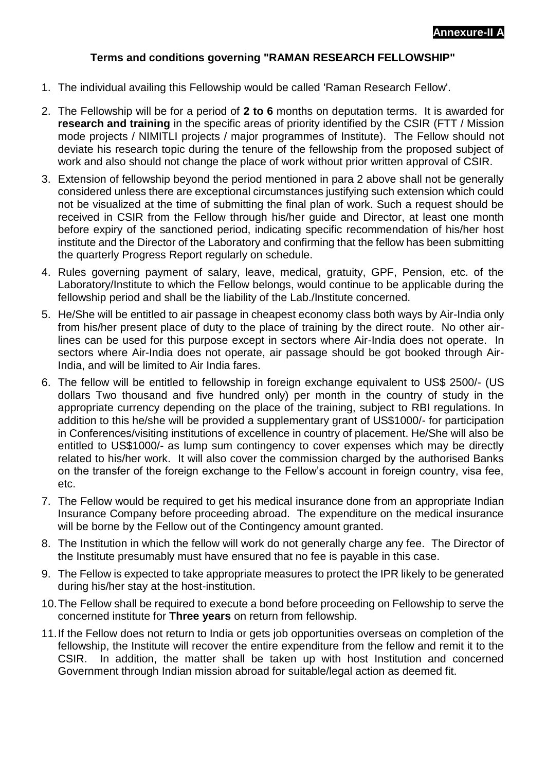#### **Terms and conditions governing "RAMAN RESEARCH FELLOWSHIP"**

- 1. The individual availing this Fellowship would be called 'Raman Research Fellow'.
- 2. The Fellowship will be for a period of **2 to 6** months on deputation terms. It is awarded for **research and training** in the specific areas of priority identified by the CSIR (FTT / Mission mode projects / NIMITLI projects / major programmes of Institute). The Fellow should not deviate his research topic during the tenure of the fellowship from the proposed subject of work and also should not change the place of work without prior written approval of CSIR.
- 3. Extension of fellowship beyond the period mentioned in para 2 above shall not be generally considered unless there are exceptional circumstances justifying such extension which could not be visualized at the time of submitting the final plan of work. Such a request should be received in CSIR from the Fellow through his/her guide and Director, at least one month before expiry of the sanctioned period, indicating specific recommendation of his/her host institute and the Director of the Laboratory and confirming that the fellow has been submitting the quarterly Progress Report regularly on schedule.
- 4. Rules governing payment of salary, leave, medical, gratuity, GPF, Pension, etc. of the Laboratory/Institute to which the Fellow belongs, would continue to be applicable during the fellowship period and shall be the liability of the Lab./Institute concerned.
- 5. He/She will be entitled to air passage in cheapest economy class both ways by Air-India only from his/her present place of duty to the place of training by the direct route. No other airlines can be used for this purpose except in sectors where Air-India does not operate. In sectors where Air-India does not operate, air passage should be got booked through Air-India, and will be limited to Air India fares.
- 6. The fellow will be entitled to fellowship in foreign exchange equivalent to US\$ 2500/- (US dollars Two thousand and five hundred only) per month in the country of study in the appropriate currency depending on the place of the training, subject to RBI regulations. In addition to this he/she will be provided a supplementary grant of US\$1000/- for participation in Conferences/visiting institutions of excellence in country of placement. He/She will also be entitled to US\$1000/- as lump sum contingency to cover expenses which may be directly related to his/her work. It will also cover the commission charged by the authorised Banks on the transfer of the foreign exchange to the Fellow's account in foreign country, visa fee, etc.
- 7. The Fellow would be required to get his medical insurance done from an appropriate Indian Insurance Company before proceeding abroad. The expenditure on the medical insurance will be borne by the Fellow out of the Contingency amount granted.
- 8. The Institution in which the fellow will work do not generally charge any fee. The Director of the Institute presumably must have ensured that no fee is payable in this case.
- 9. The Fellow is expected to take appropriate measures to protect the IPR likely to be generated during his/her stay at the host-institution.
- 10.The Fellow shall be required to execute a bond before proceeding on Fellowship to serve the concerned institute for **Three years** on return from fellowship.
- 11.If the Fellow does not return to India or gets job opportunities overseas on completion of the fellowship, the Institute will recover the entire expenditure from the fellow and remit it to the CSIR. In addition, the matter shall be taken up with host Institution and concerned Government through Indian mission abroad for suitable/legal action as deemed fit.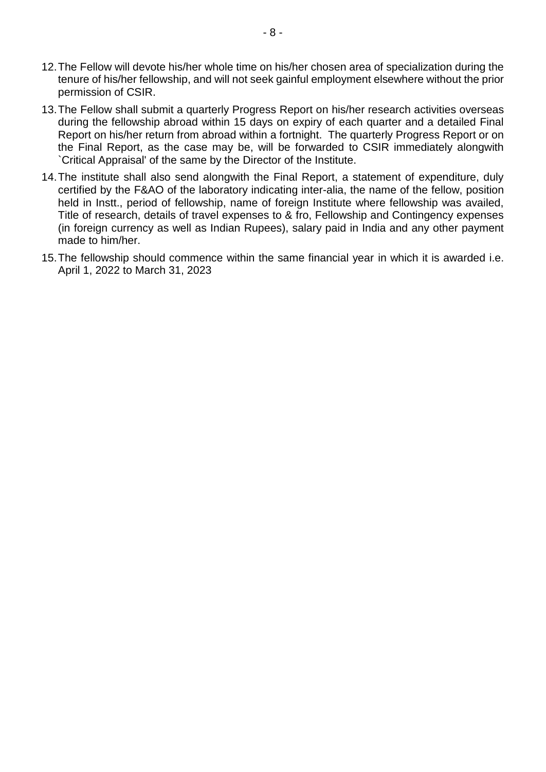- 12.The Fellow will devote his/her whole time on his/her chosen area of specialization during the tenure of his/her fellowship, and will not seek gainful employment elsewhere without the prior permission of CSIR.
- 13.The Fellow shall submit a quarterly Progress Report on his/her research activities overseas during the fellowship abroad within 15 days on expiry of each quarter and a detailed Final Report on his/her return from abroad within a fortnight. The quarterly Progress Report or on the Final Report, as the case may be, will be forwarded to CSIR immediately alongwith `Critical Appraisal' of the same by the Director of the Institute.
- 14.The institute shall also send alongwith the Final Report, a statement of expenditure, duly certified by the F&AO of the laboratory indicating inter-alia, the name of the fellow, position held in Instt., period of fellowship, name of foreign Institute where fellowship was availed, Title of research, details of travel expenses to & fro, Fellowship and Contingency expenses (in foreign currency as well as Indian Rupees), salary paid in India and any other payment made to him/her.
- 15.The fellowship should commence within the same financial year in which it is awarded i.e. April 1, 2022 to March 31, 2023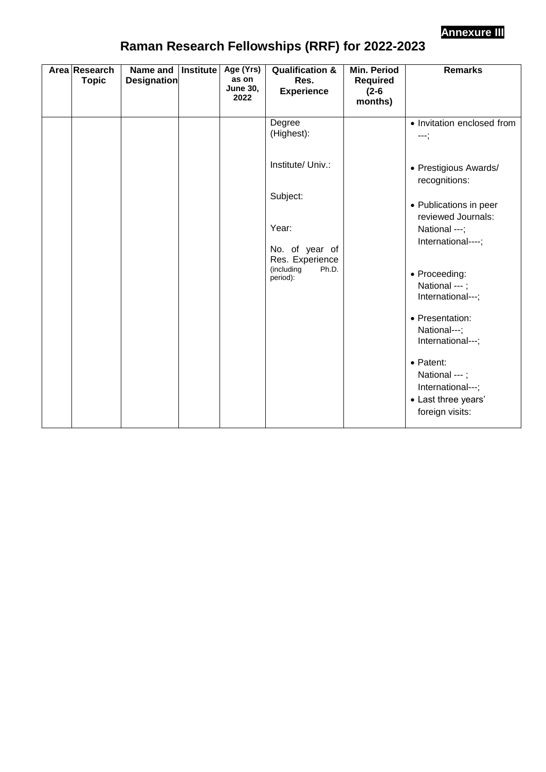

# **Raman Research Fellowships (RRF) for 2022-2023**

| Area Research<br><b>Topic</b> | Name and<br><b>Designation</b> | Institute | Age (Yrs)<br>as on<br><b>June 30,</b><br>2022 | <b>Qualification &amp;</b><br>Res.<br><b>Experience</b>              | <b>Min. Period</b><br><b>Required</b><br>$(2-6)$<br>months) | <b>Remarks</b>                                                                                                                                                                                           |
|-------------------------------|--------------------------------|-----------|-----------------------------------------------|----------------------------------------------------------------------|-------------------------------------------------------------|----------------------------------------------------------------------------------------------------------------------------------------------------------------------------------------------------------|
|                               |                                |           |                                               | Degree<br>(Highest):                                                 |                                                             | • Invitation enclosed from<br>---;                                                                                                                                                                       |
|                               |                                |           |                                               | Institute/ Univ.:                                                    |                                                             | • Prestigious Awards/<br>recognitions:                                                                                                                                                                   |
|                               |                                |           |                                               | Subject:                                                             |                                                             | • Publications in peer<br>reviewed Journals:                                                                                                                                                             |
|                               |                                |           |                                               | Year:                                                                |                                                             | National ---;<br>International----;                                                                                                                                                                      |
|                               |                                |           |                                               | No. of year of<br>Res. Experience<br>(including<br>Ph.D.<br>period): |                                                             | • Proceeding:<br>National ---;<br>International---;<br>• Presentation:<br>National---;<br>International---;<br>• Patent:<br>National ---;<br>International---;<br>• Last three years'<br>foreign visits: |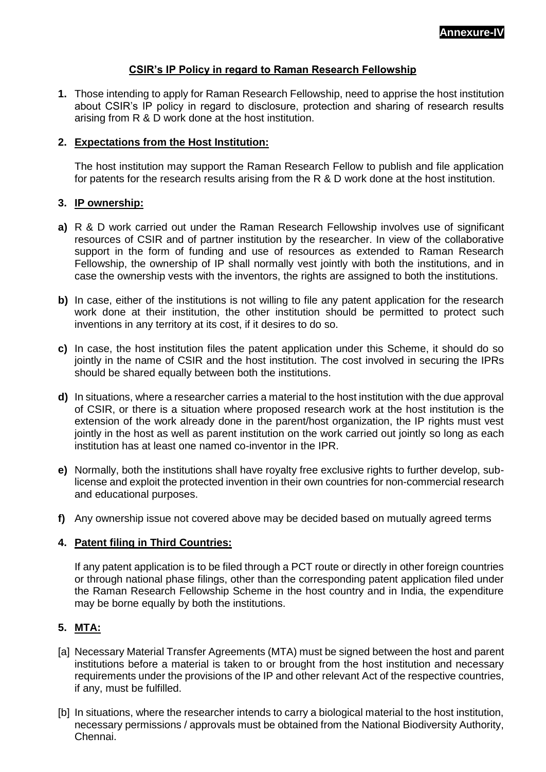#### **CSIR's IP Policy in regard to Raman Research Fellowship**

**1.** Those intending to apply for Raman Research Fellowship, need to apprise the host institution about CSIR's IP policy in regard to disclosure, protection and sharing of research results arising from R & D work done at the host institution.

#### **2. Expectations from the Host Institution:**

The host institution may support the Raman Research Fellow to publish and file application for patents for the research results arising from the R & D work done at the host institution.

#### **3. IP ownership:**

- **a)** R & D work carried out under the Raman Research Fellowship involves use of significant resources of CSIR and of partner institution by the researcher. In view of the collaborative support in the form of funding and use of resources as extended to Raman Research Fellowship, the ownership of IP shall normally vest jointly with both the institutions, and in case the ownership vests with the inventors, the rights are assigned to both the institutions.
- **b)** In case, either of the institutions is not willing to file any patent application for the research work done at their institution, the other institution should be permitted to protect such inventions in any territory at its cost, if it desires to do so.
- **c)** In case, the host institution files the patent application under this Scheme, it should do so jointly in the name of CSIR and the host institution. The cost involved in securing the IPRs should be shared equally between both the institutions.
- **d)** In situations, where a researcher carries a material to the host institution with the due approval of CSIR, or there is a situation where proposed research work at the host institution is the extension of the work already done in the parent/host organization, the IP rights must vest jointly in the host as well as parent institution on the work carried out jointly so long as each institution has at least one named co-inventor in the IPR.
- **e)** Normally, both the institutions shall have royalty free exclusive rights to further develop, sublicense and exploit the protected invention in their own countries for non-commercial research and educational purposes.
- **f)** Any ownership issue not covered above may be decided based on mutually agreed terms

#### **4. Patent filing in Third Countries:**

If any patent application is to be filed through a PCT route or directly in other foreign countries or through national phase filings, other than the corresponding patent application filed under the Raman Research Fellowship Scheme in the host country and in India, the expenditure may be borne equally by both the institutions.

#### **5. MTA:**

- [a] Necessary Material Transfer Agreements (MTA) must be signed between the host and parent institutions before a material is taken to or brought from the host institution and necessary requirements under the provisions of the IP and other relevant Act of the respective countries, if any, must be fulfilled.
- [b] In situations, where the researcher intends to carry a biological material to the host institution, necessary permissions / approvals must be obtained from the National Biodiversity Authority, Chennai.